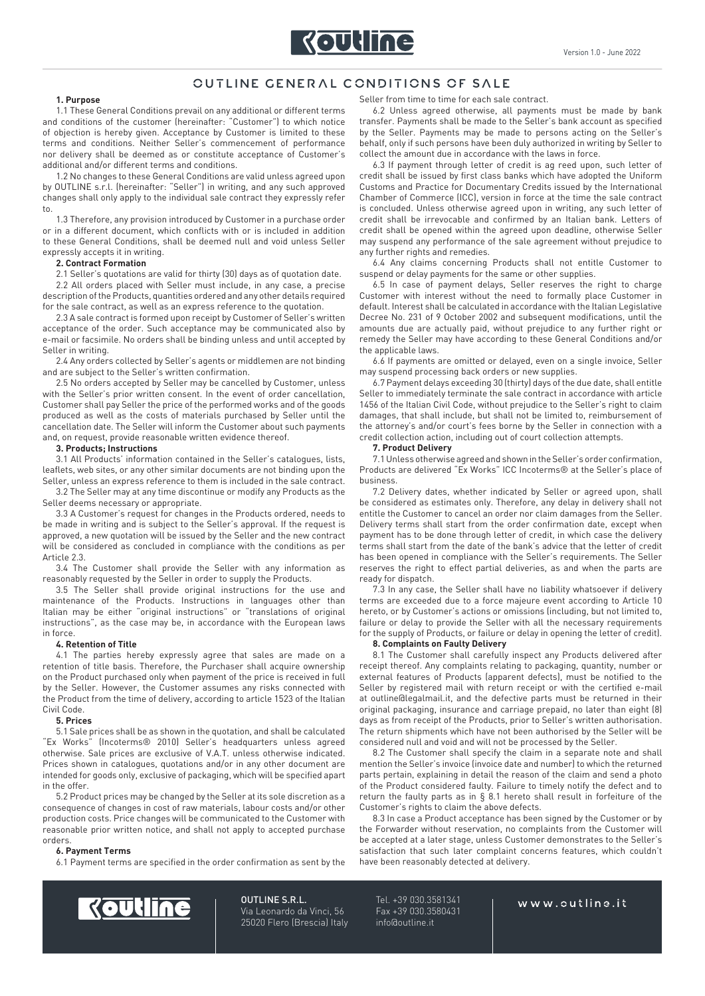

# OUTLINE GENERAL CONDITIONS OF SALE

# **1. Purpose**

1.1 These General Conditions prevail on any additional or different terms and conditions of the customer (hereinafter: "Customer") to which notice of objection is hereby given. Acceptance by Customer is limited to these terms and conditions. Neither Seller's commencement of performance nor delivery shall be deemed as or constitute acceptance of Customer's additional and/or different terms and conditions.

1.2 No changes to these General Conditions are valid unless agreed upon by OUTLINE s.r.l. (hereinafter: "Seller") in writing, and any such approved changes shall only apply to the individual sale contract they expressly refer to.

1.3 Therefore, any provision introduced by Customer in a purchase order or in a different document, which conflicts with or is included in addition to these General Conditions, shall be deemed null and void unless Seller expressly accepts it in writing.

# **2. Contract Formation**

2.1 Seller's quotations are valid for thirty (30) days as of quotation date. 2.2 All orders placed with Seller must include, in any case, a precise description of the Products, quantities ordered and any other details required for the sale contract, as well as an express reference to the quotation.

2.3 A sale contract is formed upon receipt by Customer of Seller's written acceptance of the order. Such acceptance may be communicated also by e-mail or facsimile. No orders shall be binding unless and until accepted by Seller in writing.

2.4 Any orders collected by Seller's agents or middlemen are not binding and are subject to the Seller's written confirmation.

2.5 No orders accepted by Seller may be cancelled by Customer, unless with the Seller's prior written consent. In the event of order cancellation, Customer shall pay Seller the price of the performed works and of the goods produced as well as the costs of materials purchased by Seller until the cancellation date. The Seller will inform the Customer about such payments and, on request, provide reasonable written evidence thereof.

#### **3. Products; Instructions**

3.1 All Products' information contained in the Seller's catalogues, lists, leaflets, web sites, or any other similar documents are not binding upon the Seller, unless an express reference to them is included in the sale contract.

3.2 The Seller may at any time discontinue or modify any Products as the Seller deems necessary or appropriate.

3.3 A Customer's request for changes in the Products ordered, needs to be made in writing and is subject to the Seller's approval. If the request is approved, a new quotation will be issued by the Seller and the new contract will be considered as concluded in compliance with the conditions as per Article 2.3.

3.4 The Customer shall provide the Seller with any information as reasonably requested by the Seller in order to supply the Products.

3.5 The Seller shall provide original instructions for the use and maintenance of the Products. Instructions in languages other than Italian may be either "original instructions" or "translations of original instructions", as the case may be, in accordance with the European laws in force.

# **4. Retention of Title**

4.1 The parties hereby expressly agree that sales are made on a retention of title basis. Therefore, the Purchaser shall acquire ownership on the Product purchased only when payment of the price is received in full by the Seller. However, the Customer assumes any risks connected with the Product from the time of delivery, according to article 1523 of the Italian Civil Code.

## **5. Prices**

5.1 Sale prices shall be as shown in the quotation, and shall be calculated "Ex Works" (Incoterms® 2010) Seller's headquarters unless agreed otherwise. Sale prices are exclusive of V.A.T. unless otherwise indicated. Prices shown in catalogues, quotations and/or in any other document are intended for goods only, exclusive of packaging, which will be specified apart in the offer.

5.2 Product prices may be changed by the Seller at its sole discretion as a consequence of changes in cost of raw materials, labour costs and/or other production costs. Price changes will be communicated to the Customer with reasonable prior written notice, and shall not apply to accepted purchase orders.

# **6. Payment Terms**

6.1 Payment terms are specified in the order confirmation as sent by the

Seller from time to time for each sale contract.

6.2 Unless agreed otherwise, all payments must be made by bank transfer. Payments shall be made to the Seller's bank account as specified by the Seller. Payments may be made to persons acting on the Seller's behalf, only if such persons have been duly authorized in writing by Seller to collect the amount due in accordance with the laws in force.

6.3 If payment through letter of credit is ag reed upon, such letter of credit shall be issued by first class banks which have adopted the Uniform Customs and Practice for Documentary Credits issued by the International Chamber of Commerce (ICC), version in force at the time the sale contract is concluded. Unless otherwise agreed upon in writing, any such letter of credit shall be irrevocable and confirmed by an Italian bank. Letters of credit shall be opened within the agreed upon deadline, otherwise Seller may suspend any performance of the sale agreement without prejudice to any further rights and remedies.

6.4 Any claims concerning Products shall not entitle Customer to suspend or delay payments for the same or other supplies.

6.5 In case of payment delays, Seller reserves the right to charge Customer with interest without the need to formally place Customer in default. Interest shall be calculated in accordance with the Italian Legislative Decree No. 231 of 9 October 2002 and subsequent modifications, until the amounts due are actually paid, without prejudice to any further right or remedy the Seller may have according to these General Conditions and/or the applicable laws.

6.6 If payments are omitted or delayed, even on a single invoice, Seller may suspend processing back orders or new supplies.

6.7 Payment delays exceeding 30 (thirty) days of the due date, shall entitle Seller to immediately terminate the sale contract in accordance with article 1456 of the Italian Civil Code, without prejudice to the Seller's right to claim damages, that shall include, but shall not be limited to, reimbursement of the attorney's and/or court's fees borne by the Seller in connection with a credit collection action, including out of court collection attempts.

#### **7. Product Delivery**

7.1 Unless otherwise agreed and shown in the Seller's order confirmation, Products are delivered "Ex Works" ICC Incoterms® at the Seller's place of business.

7.2 Delivery dates, whether indicated by Seller or agreed upon, shall be considered as estimates only. Therefore, any delay in delivery shall not entitle the Customer to cancel an order nor claim damages from the Seller. Delivery terms shall start from the order confirmation date, except when payment has to be done through letter of credit, in which case the delivery terms shall start from the date of the bank's advice that the letter of credit has been opened in compliance with the Seller's requirements. The Seller reserves the right to effect partial deliveries, as and when the parts are ready for dispatch.

7.3 In any case, the Seller shall have no liability whatsoever if delivery terms are exceeded due to a force majeure event according to Article 10 hereto, or by Customer's actions or omissions (including, but not limited to, failure or delay to provide the Seller with all the necessary requirements for the supply of Products, or failure or delay in opening the letter of credit).

# **8. Complaints on Faulty Delivery**

8.1 The Customer shall carefully inspect any Products delivered after receipt thereof. Any complaints relating to packaging, quantity, number or external features of Products (apparent defects), must be notified to the Seller by registered mail with return receipt or with the certified e-mail at outline@legalmail.it, and the defective parts must be returned in their original packaging, insurance and carriage prepaid, no later than eight (8) days as from receipt of the Products, prior to Seller's written authorisation. The return shipments which have not been authorised by the Seller will be considered null and void and will not be processed by the Seller.

8.2 The Customer shall specify the claim in a separate note and shall mention the Seller's invoice (invoice date and number) to which the returned parts pertain, explaining in detail the reason of the claim and send a photo of the Product considered faulty. Failure to timely notify the defect and to return the faulty parts as in  $\S$  8.1 hereto shall result in forfeiture of the Customer's rights to claim the above defects.

8.3 In case a Product acceptance has been signed by the Customer or by the Forwarder without reservation, no complaints from the Customer will be accepted at a later stage, unless Customer demonstrates to the Seller's satisfaction that such later complaint concerns features, which couldn't have been reasonably detected at delivery.



OUTLINE S.R.L. Via Leonardo da Vinci, 56 25020 Flero (Brescia) Italy

Tel. +39 030.3581341 Fax +39 030.3580431 info@outline.it

# www.cutline.it